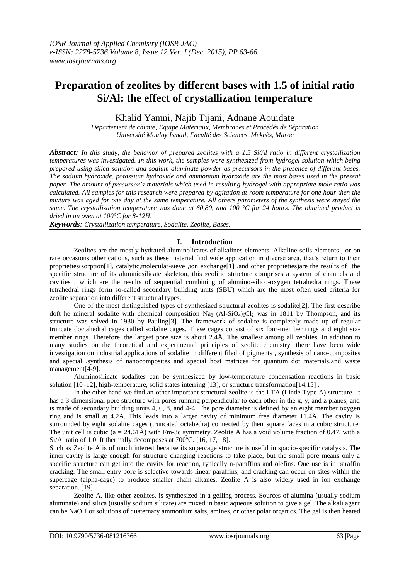## **Preparation of zeolites by different bases with 1.5 of initial ratio Si/Al: the effect of crystallization temperature**

Khalid Yamni, Najib Tijani, Adnane Aouidate

*Département de chimie, Equipe Matériaux, Membranes et Procédés de Séparation Université Moulay Ismail, Faculté des Sciences, Meknès, Maroc*

*Abstract: In this study, the behavior of prepared zeolites with a 1.5 Si/Al ratio in different crystallization temperatures was investigated. In this work, the samples were synthesized from hydrogel solution which being prepared using silica solution and sodium aluminate powder as precursors in the presence of different bases. The sodium hydroxide, potassium hydroxide and ammonium hydroxide are the most bases used in the present paper. The amount of precursor's materials which used in resulting hydrogel with appropriate mole ratio was calculated. All samples for this research were prepared by agitation at room temperature for one hour then the mixture was aged for one day at the same temperature. All others parameters of the synthesis were stayed the same. The crystallization temperature was done at 60,80, and 100 °C for 24 hours. The obtained product is dried in an oven at 100°C for 8-12H.*

*Keywords: Crystallization temperature, Sodalite, Zeolite, Bases.*

#### **I. Introduction**

Zeolites are the mostly hydrated aluminolicates of alkalines elements. Alkaline soils elements , or on rare occasions other cations, such as these material find wide application in diverse area, that's return to their proprieties(sorption[1], catalytic,molecular-sieve ,ion exchange[1] ,and other proprieties)are the results of the specific structure of its alumniosilicate skeleton, this zeolitic structure comprises a system of channels and cavities , which are the results of sequential combining of alumino-silico-oxygen tetrahedra rings. These tetrahedral rings form so-called secondary building units (SBU) which are the most often used criteria for zeolite separation into different structural types.

One of the most distinguished types of synthesized structural zeolites is sodalite[2]. The first describe doft he mineral sodalite with chemical composition  $Na_8$  (Al-SiO<sub>4</sub>)<sub>6</sub>Cl<sub>2</sub> was in 1811 by Thompson, and its structure was solved in 1930 by Pauling[3]. The framework of sodalite is completely made up of regular truncate doctahedral cages called sodalite cages. These cages consist of six four-member rings and eight sixmember rings. Therefore, the largest pore size is about 2.4Å. The smallest among all zeolites. In addition to many studies on the theoretical and experimental principles of zeolite chemistry, there have been wide investigation on industrial applications of sodalite in different filed of pigments , synthesis of nano-composites and special ,synthesis of nanocomposites and special host matrices for quantum dot materials,and waste management[4-9].

Aluminosilicate sodalites can be synthesized by low-temperature condensation reactions in basic solution [10–12], high-temperature, solid states interring [13], or structure transformation[14,15] .

In the other hand we find an other important structural zeolite is the LTA (Linde Type A) structure. It has a 3-dimensional pore structure with pores running perpendicular to each other in the x, y, and z planes, and is made of secondary building units 4, 6, 8, and 4-4. The pore diameter is defined by an eight member oxygen ring and is small at 4.2Å. This leads into a larger cavity of minimum free diameter 11.4Å. The cavity is surrounded by eight sodalite cages (truncated octahedra) connected by their square faces in a cubic structure. The unit cell is cubic  $(a = 24.61\text{\AA})$  with Fm-3c symmetry. Zeolite A has a void volume fraction of 0.47, with a Si/Al ratio of 1.0. It thermally decomposes at 700ºC. [16, 17, 18].

Such as Zeolite A is of much interest because its supercage structure is useful in spacio-specific catalysis. The inner cavity is large enough for structure changing reactions to take place, but the small pore means only a specific structure can get into the cavity for reaction, typically n-paraffins and olefins. One use is in paraffin cracking. The small entry pore is selective towards linear paraffins, and cracking can occur on sites within the supercage (alpha-cage) to produce smaller chain alkanes. Zeolite A is also widely used in ion exchange separation. [19]

Zeolite A, like other zeolites, is synthesized in a gelling process. Sources of alumina (usually sodium aluminate) and silica (usually sodium silicate) are mixed in basic aqueous solution to give a gel. The alkali agent can be NaOH or solutions of quaternary ammonium salts, amines, or other polar organics. The gel is then heated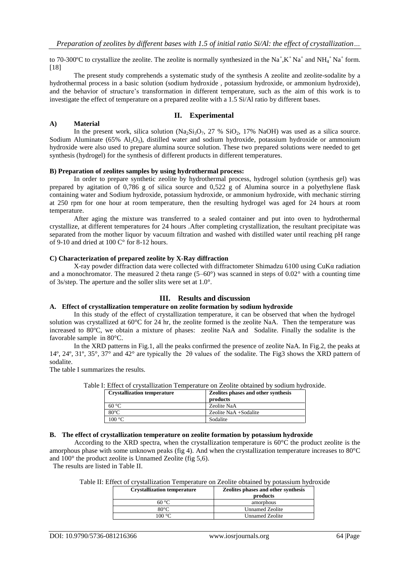to 70-300°C to crystallize the zeolite. The zeolite is normally synthesized in the  $Na^+, K^+Na^+$  and  $NH_4^+Na^+$  form. [18]

The present study comprehends a systematic study of the synthesis A zeolite and zeolite-sodalite by a hydrothermal process in a basic solution (sodium hydroxide , potassium hydroxide, or ammonium hydroxide), and the behavior of structure's transformation in different temperature, such as the aim of this work is to investigate the effect of temperature on a prepared zeolite with a 1.5 Si/Al ratio by different bases.

#### **II. Experimental**

In the present work, silica solution (Na<sub>2</sub>Si<sub>3</sub>O<sub>7</sub>, 27 % SiO<sub>2</sub>, 17% NaOH) was used as a silica source. Sodium Aluminate (65%  $\text{Al}_2\text{O}_3$ ), distilled water and sodium hydroxide, potassium hydroxide or ammonium hydroxide were also used to prepare alumina source solution. These two prepared solutions were needed to get synthesis (hydrogel) for the synthesis of different products in different temperatures.

#### **B) Preparation of zeolites samples by using hydrothermal process:**

In order to prepare synthetic zeolite by hydrothermal process, hydrogel solution (synthesis gel) was prepared by agitation of 0,786 g of silica source and 0,522 g of Alumina source in a polyethylene flask containing water and Sodium hydroxide, potassium hydroxide, or ammonium hydroxide, with mechanic stirring at 250 rpm for one hour at room temperature, then the resulting hydrogel was aged for 24 hours at room temperature.

After aging the mixture was transferred to a sealed container and put into oven to hydrothermal crystallize, at different temperatures for 24 hours .After completing crystallization, the resultant precipitate was separated from the mother liquor by vacuum filtration and washed with distilled water until reaching pH range of 9-10 and dried at 100 C° for 8-12 hours.

#### **C) Characterization of prepared zeolite by X-Ray diffraction**

X-ray powder diffraction data were collected with diffractometer Shimadzu 6100 using CuKα radiation and a monochromator. The measured 2 theta range  $(5-60^{\circ})$  was scanned in steps of  $0.02^{\circ}$  with a counting time of 3s/step. The aperture and the soller slits were set at 1.0°.

#### **III. Results and discussion**

#### **A. Effect of crystallization temperature on zeolite formation by sodium hydroxide**

 In this study of the effect of crystallization temperature, it can be observed that when the hydrogel solution was crystallized at 60°C for 24 hr, the zeolite formed is the zeolite NaA. Then the temperature was increased to 80ºC, we obtain a mixture of phases: zeolite NaA and Sodalite. Finally the sodalite is the favorable sample in 80°C.

In the XRD patterns in Fig.1, all the peaks confirmed the presence of zeolite NaA. In Fig.2, the peaks at 14º, 24º, 31º, 35°, 37° and 42° are typically the 2θ values of the sodalite. The Fig3 shows the XRD pattern of sodalite.

The table I summarizes the results.

**A) Material** 

Table I: Effect of crystallization Temperature on Zeolite obtained by sodium hydroxide.

| <b>Crystallization temperature</b> | Zeolites phases and other synthesis<br>products |
|------------------------------------|-------------------------------------------------|
| 60 °C                              | Zeolite NaA                                     |
| $80^{\circ}$ C                     | Zeolite NaA +Sodalite                           |
| 100 °C                             | Sodalite                                        |

#### **B. The effect of crystallization temperature on zeolite formation by potassium hydroxide**

According to the XRD spectra, when the crystallization temperature is  $60^{\circ}$ C the product zeolite is the amorphous phase with some unknown peaks (fig 4). And when the crystallization temperature increases to 80°C and 100° the product zeolite is Unnamed Zeolite (fig 5,6).

The results are listed in Table II.

|  |  | Table II: Effect of crystallization Temperature on Zeolite obtained by potassium hydroxide |  |  |  |  |  |  |  |
|--|--|--------------------------------------------------------------------------------------------|--|--|--|--|--|--|--|
|--|--|--------------------------------------------------------------------------------------------|--|--|--|--|--|--|--|

| <b>Crystallization temperature</b> | Zeolites phases and other synthesis<br>products |
|------------------------------------|-------------------------------------------------|
| $60^{\circ}$ C                     | amorphous                                       |
| $80^{\circ}$ C                     | <b>Unnamed Zeolite</b>                          |
| $00 \degree C$                     | Unnamed Zeolite                                 |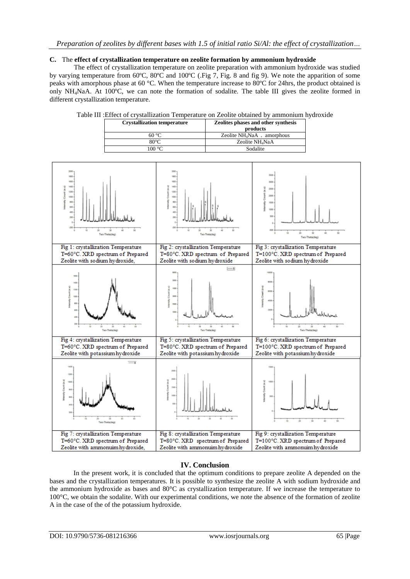### *Preparation of zeolites by different bases with 1.5 of initial ratio Si/Al: the effect of crystallization…*

#### **C.** The **effect of crystallization temperature on zeolite formation by ammonium hydroxide**

The effect of crystallization temperature on zeolite preparation with ammonium hydroxide was studied by varying temperature from 60ºC, 80ºC and 100ºC (.Fig 7, Fig. 8 and fig 9). We note the apparition of some peaks with amorphous phase at 60 °C. When the temperature increase to 80ºC for 24hrs, the product obtained is only NH4NaA. At 100ºC, we can note the formation of sodalite. The table III gives the zeolite formed in different crystallization temperature.

| <b>Crystallization temperature</b> | <b>Zeolites phases and other synthesis</b><br>products |
|------------------------------------|--------------------------------------------------------|
| 60 °C                              | Zeolite NH <sub>4</sub> NaA $_+$ amorphous             |
| 80°C                               | Zeolite NH <sub>4</sub> NaA                            |
| 100 °C                             | Sodalite                                               |



#### Table III :Effect of crystallization Temperature on Zeolite obtained by ammonium hydroxide

#### **IV. Conclusion**

In the present work, it is concluded that the optimum conditions to prepare zeolite A depended on the bases and the crystallization temperatures. It is possible to synthesize the zeolite A with sodium hydroxide and the ammonium hydroxide as bases and 80°C as crystallization temperature. If we increase the temperature to 100°C, we obtain the sodalite. With our experimental conditions, we note the absence of the formation of zeolite A in the case of the of the potassium hydroxide.